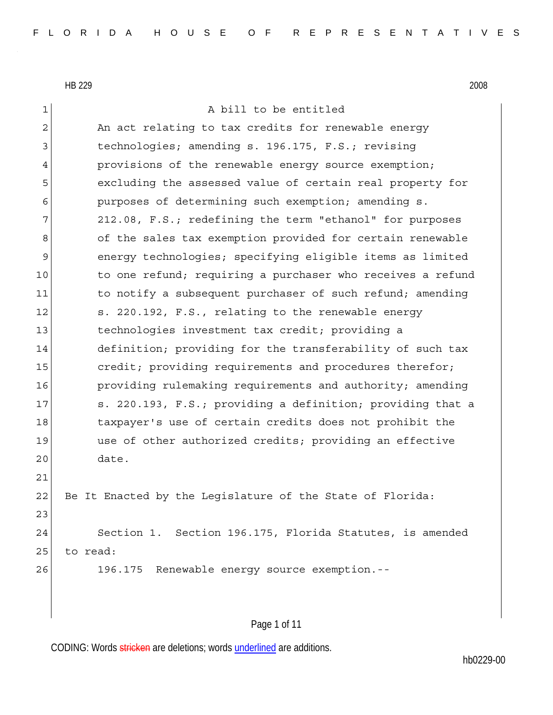| 1              | A bill to be entitled                                      |
|----------------|------------------------------------------------------------|
| $\overline{c}$ | An act relating to tax credits for renewable energy        |
| 3              | technologies; amending s. 196.175, F.S.; revising          |
| 4              | provisions of the renewable energy source exemption;       |
| 5              | excluding the assessed value of certain real property for  |
| 6              | purposes of determining such exemption; amending s.        |
| 7              | 212.08, F.S.; redefining the term "ethanol" for purposes   |
| 8              | of the sales tax exemption provided for certain renewable  |
| 9              | energy technologies; specifying eligible items as limited  |
| 10             | to one refund; requiring a purchaser who receives a refund |
| 11             | to notify a subsequent purchaser of such refund; amending  |
| 12             | s. 220.192, F.S., relating to the renewable energy         |
| 13             | technologies investment tax credit; providing a            |
| 14             | definition; providing for the transferability of such tax  |
| 15             | credit; providing requirements and procedures therefor;    |
| 16             | providing rulemaking requirements and authority; amending  |
| 17             | s. 220.193, F.S.; providing a definition; providing that a |
| 18             | taxpayer's use of certain credits does not prohibit the    |
| 19             | use of other authorized credits; providing an effective    |
| 20             | date.                                                      |
| 21             |                                                            |
| 22             | Be It Enacted by the Leqislature of the State of Florida:  |
| 23             |                                                            |
| 24             | Section 1. Section 196.175, Florida Statutes, is amended   |
| 25             | to read:                                                   |
| 26             | 196.175 Renewable energy source exemption.--               |
|                |                                                            |
|                |                                                            |

# Page 1 of 11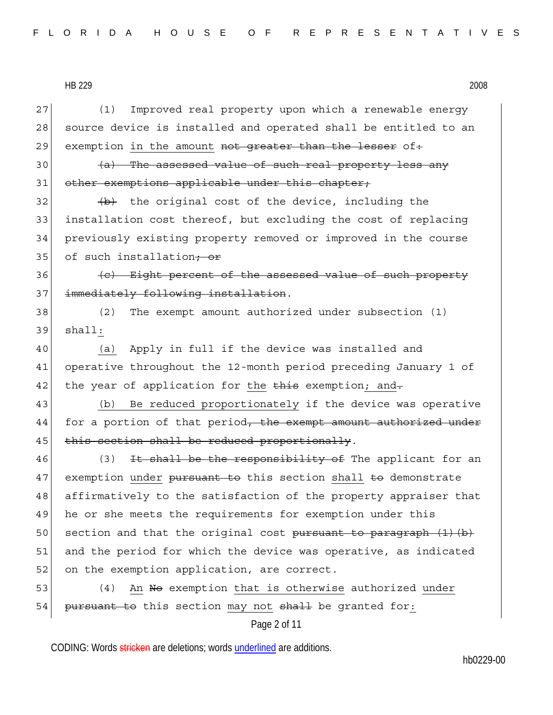Page 2 of 11 27 (1) Improved real property upon which a renewable energy 28 source device is installed and operated shall be entitled to an 29 exemption in the amount not greater than the lesser of.  $30$  (a) The assessed value of such real property less any 31 other exemptions applicable under this chapter;  $32$  (b) the original cost of the device, including the 33 installation cost thereof, but excluding the cost of replacing 34 previously existing property removed or improved in the course 35 of such installation<del>; or</del> 36 (c) Eight percent of the assessed value of such property 37 immediately following installation. 38 (2) The exempt amount authorized under subsection (1) 39 shall: 40 (a) Apply in full if the device was installed and 41 operative throughout the 12-month period preceding January 1 of 42 the year of application for the this exemption; and. 43 (b) Be reduced proportionately if the device was operative 44 for a portion of that period<del>, the exempt amount authorized under</del> 45 this section shall be reduced proportionally. 46 (3) It shall be the responsibility of The applicant for an 47 exemption under pursuant to this section shall to demonstrate 48 affirmatively to the satisfaction of the property appraiser that 49 he or she meets the requirements for exemption under this 50 section and that the original cost pursuant to paragraph  $(1)$  (b) 51 and the period for which the device was operative, as indicated 52 on the exemption application, are correct. 53 (4) An No exemption that is otherwise authorized under 54 pursuant to this section may not shall be granted for: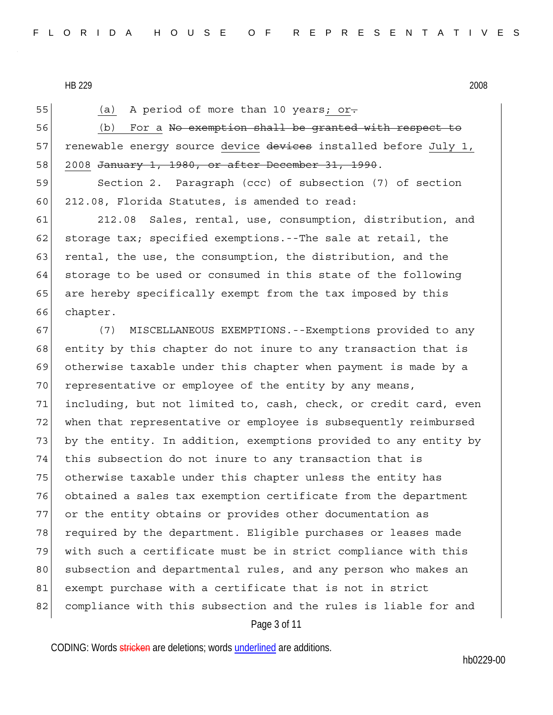55 (a) A period of more than 10 years; or.

56 (b) For a <del>No exemption shall be granted with respect to</del> 57 renewable energy source device devices installed before July 1, 58 2008 <del>January 1, 1980, or after December 31, 1990</del>.

59 Section 2. Paragraph (ccc) of subsection (7) of section 60 212.08, Florida Statutes, is amended to read:

61 212.08 Sales, rental, use, consumption, distribution, and 62 storage tax; specified exemptions.--The sale at retail, the 63 rental, the use, the consumption, the distribution, and the 64 storage to be used or consumed in this state of the following 65 are hereby specifically exempt from the tax imposed by this 66 chapter.

Page 3 of 11 67 (7) MISCELLANEOUS EXEMPTIONS.--Exemptions provided to any 68 entity by this chapter do not inure to any transaction that is 69 otherwise taxable under this chapter when payment is made by a 70 representative or employee of the entity by any means, 71 including, but not limited to, cash, check, or credit card, even 72 when that representative or employee is subsequently reimbursed 73 by the entity. In addition, exemptions provided to any entity by 74 this subsection do not inure to any transaction that is 75 otherwise taxable under this chapter unless the entity has 76 obtained a sales tax exemption certificate from the department 77 or the entity obtains or provides other documentation as 78 required by the department. Eligible purchases or leases made 79 with such a certificate must be in strict compliance with this 80 subsection and departmental rules, and any person who makes an 81 exempt purchase with a certificate that is not in strict 82 compliance with this subsection and the rules is liable for and

CODING: Words stricken are deletions; words underlined are additions.

hb0229-00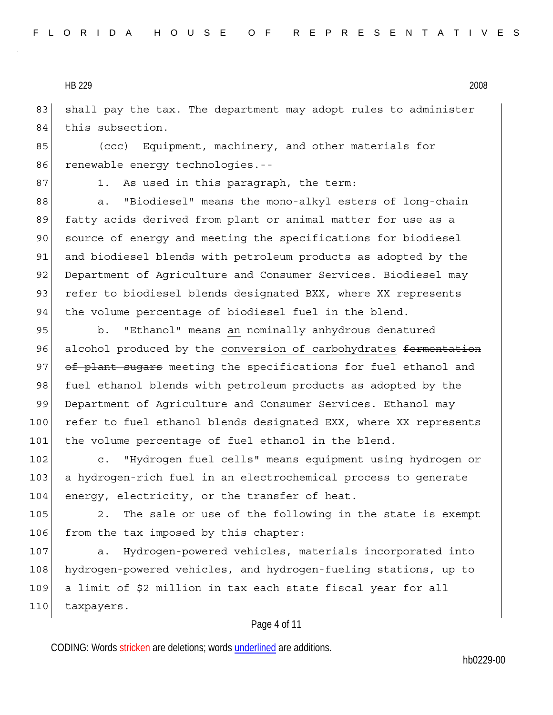83 shall pay the tax. The department may adopt rules to administer 84 this subsection.

85 (ccc) Equipment, machinery, and other materials for 86 renewable energy technologies.--

87 1. As used in this paragraph, the term:

88 a. "Biodiesel" means the mono-alkyl esters of long-chain 89 fatty acids derived from plant or animal matter for use as a 90 source of energy and meeting the specifications for biodiesel 91 and biodiesel blends with petroleum products as adopted by the 92 Department of Agriculture and Consumer Services. Biodiesel may 93 refer to biodiesel blends designated BXX, where XX represents 94 the volume percentage of biodiesel fuel in the blend.

95 b. "Ethanol" means an <del>nominally</del> anhydrous denatured 96 alcohol produced by the conversion of carbohydrates fermentation 97 of plant sugars meeting the specifications for fuel ethanol and 98 fuel ethanol blends with petroleum products as adopted by the 99 Department of Agriculture and Consumer Services. Ethanol may 100 refer to fuel ethanol blends designated EXX, where XX represents 101 the volume percentage of fuel ethanol in the blend.

102 c. "Hydrogen fuel cells" means equipment using hydrogen or 103 a hydrogen-rich fuel in an electrochemical process to generate 104 energy, electricity, or the transfer of heat.

105 2. The sale or use of the following in the state is exempt 106 from the tax imposed by this chapter:

107 a. Hydrogen-powered vehicles, materials incorporated into 108 hydrogen-powered vehicles, and hydrogen-fueling stations, up to 109 a limit of \$2 million in tax each state fiscal year for all 110 taxpayers.

## Page 4 of 11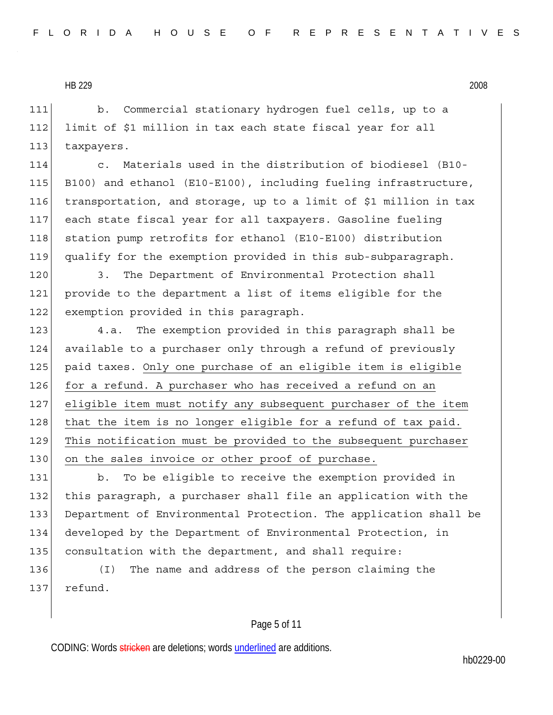111 b. Commercial stationary hydrogen fuel cells, up to a 112 limit of \$1 million in tax each state fiscal year for all 113 taxpayers.

114 c. Materials used in the distribution of biodiesel (B10- 115 B100) and ethanol (E10-E100), including fueling infrastructure, 116 transportation, and storage, up to a limit of \$1 million in tax 117 each state fiscal year for all taxpayers. Gasoline fueling 118 station pump retrofits for ethanol (E10-E100) distribution 119 qualify for the exemption provided in this sub-subparagraph.

120 3. The Department of Environmental Protection shall 121 provide to the department a list of items eligible for the 122 exemption provided in this paragraph.

123 4.a. The exemption provided in this paragraph shall be 124 available to a purchaser only through a refund of previously 125 paid taxes. Only one purchase of an eligible item is eligible 126 for a refund. A purchaser who has received a refund on an 127 eligible item must notify any subsequent purchaser of the item  $128$  that the item is no longer eligible for a refund of tax paid. 129 This notification must be provided to the subsequent purchaser 130 on the sales invoice or other proof of purchase.

131 b. To be eligible to receive the exemption provided in 132 this paragraph, a purchaser shall file an application with the 133 Department of Environmental Protection. The application shall be 134 developed by the Department of Environmental Protection, in 135 consultation with the department, and shall require:

136 (I) The name and address of the person claiming the 137 refund.

#### Page 5 of 11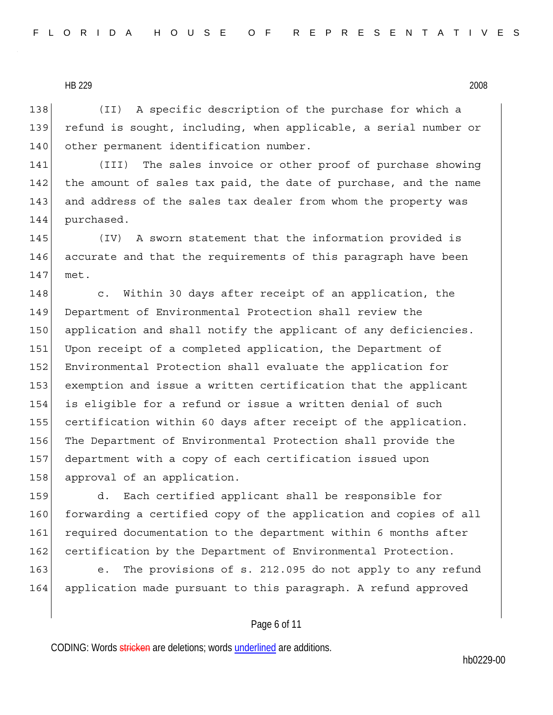138 (II) A specific description of the purchase for which a 139 refund is sought, including, when applicable, a serial number or 140 other permanent identification number.

141 (III) The sales invoice or other proof of purchase showing 142 the amount of sales tax paid, the date of purchase, and the name 143 and address of the sales tax dealer from whom the property was 144 purchased.

145 (IV) A sworn statement that the information provided is 146 accurate and that the requirements of this paragraph have been 147 met.

148 c. Within 30 days after receipt of an application, the 149 Department of Environmental Protection shall review the 150 application and shall notify the applicant of any deficiencies. 151 Upon receipt of a completed application, the Department of 152 Environmental Protection shall evaluate the application for 153 exemption and issue a written certification that the applicant 154 is eligible for a refund or issue a written denial of such 155 certification within 60 days after receipt of the application. 156 The Department of Environmental Protection shall provide the 157 department with a copy of each certification issued upon 158 approval of an application.

159 d. Each certified applicant shall be responsible for 160 forwarding a certified copy of the application and copies of all 161 required documentation to the department within 6 months after 162 certification by the Department of Environmental Protection.

163 e. The provisions of s. 212.095 do not apply to any refund 164 application made pursuant to this paragraph. A refund approved

## Page 6 of 11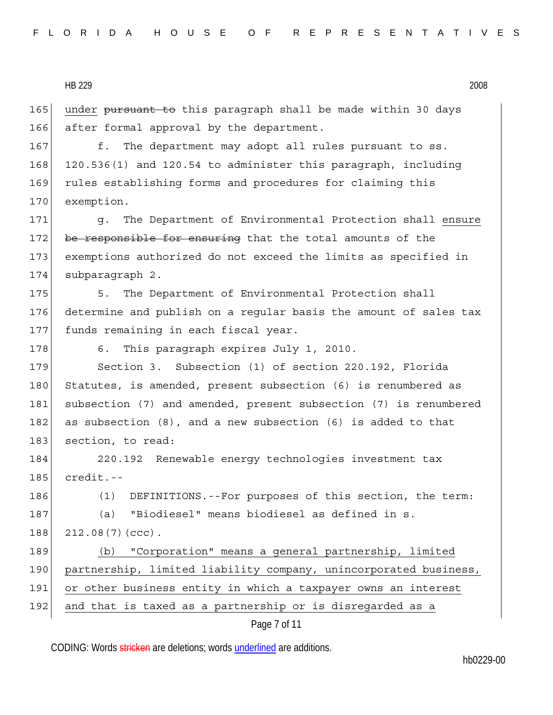165 under pursuant to this paragraph shall be made within 30 days 166 after formal approval by the department.

167 f. The department may adopt all rules pursuant to ss. 168 120.536(1) and 120.54 to administer this paragraph, including 169 rules establishing forms and procedures for claiming this 170 exemption.

171 g. The Department of Environmental Protection shall ensure 172 be responsible for ensuring that the total amounts of the 173 exemptions authorized do not exceed the limits as specified in 174 subparagraph 2.

175 5. The Department of Environmental Protection shall 176 determine and publish on a regular basis the amount of sales tax 177 funds remaining in each fiscal year.

178 6. This paragraph expires July 1, 2010.

179 Section 3. Subsection (1) of section 220.192, Florida 180 Statutes, is amended, present subsection (6) is renumbered as 181 subsection (7) and amended, present subsection (7) is renumbered 182 as subsection  $(8)$ , and a new subsection  $(6)$  is added to that 183 section, to read:

184 220.192 Renewable energy technologies investment tax  $185$  credit.--

186 (1) DEFINITIONS.--For purposes of this section, the term: 187 (a) "Biodiesel" means biodiesel as defined in s. 188 212.08(7)(ccc).

189 (b) "Corporation" means a general partnership, limited 190 partnership, limited liability company, unincorporated business, 191 or other business entity in which a taxpayer owns an interest 192 and that is taxed as a partnership or is disregarded as a

Page 7 of 11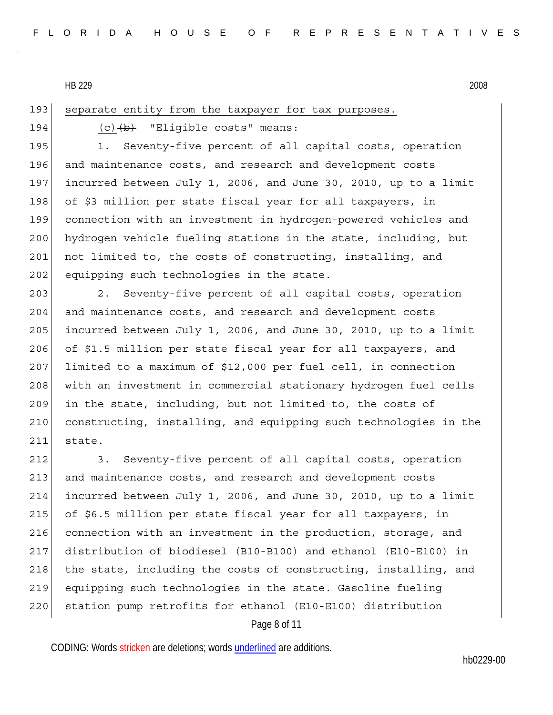193 separate entity from the taxpayer for tax purposes.

194  $(c)$   $(b)$  "Eligible costs" means:

195 1. Seventy-five percent of all capital costs, operation 196 and maintenance costs, and research and development costs 197 incurred between July 1, 2006, and June 30, 2010, up to a limit 198 of \$3 million per state fiscal year for all taxpayers, in 199 connection with an investment in hydrogen-powered vehicles and 200 hydrogen vehicle fueling stations in the state, including, but 201 not limited to, the costs of constructing, installing, and 202 equipping such technologies in the state.

203 203 2. Seventy-five percent of all capital costs, operation 204 and maintenance costs, and research and development costs  $205$  incurred between July 1, 2006, and June 30, 2010, up to a limit 206 of \$1.5 million per state fiscal year for all taxpayers, and 207 limited to a maximum of \$12,000 per fuel cell, in connection 208 with an investment in commercial stationary hydrogen fuel cells 209 in the state, including, but not limited to, the costs of 210 constructing, installing, and equipping such technologies in the 211 state.

Page 8 of 11 212 3. Seventy-five percent of all capital costs, operation 213 and maintenance costs, and research and development costs 214 incurred between July 1, 2006, and June 30, 2010, up to a limit 215 of \$6.5 million per state fiscal year for all taxpayers, in 216 connection with an investment in the production, storage, and 217 distribution of biodiesel (B10-B100) and ethanol (E10-E100) in 218 the state, including the costs of constructing, installing, and 219 equipping such technologies in the state. Gasoline fueling 220 station pump retrofits for ethanol (E10-E100) distribution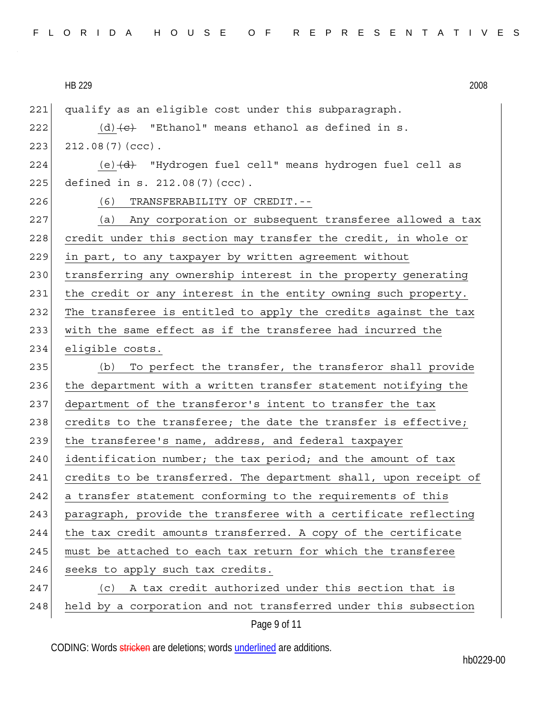| 2008 |
|------|
|      |

| 221 | qualify as an eligible cost under this subparagraph.                |
|-----|---------------------------------------------------------------------|
| 222 | $(d)$ $(e)$ "Ethanol" means ethanol as defined in s.                |
| 223 | $212.08(7)(ccc)$ .                                                  |
| 224 | (e) $\overline{d}$ "Hydrogen fuel cell" means hydrogen fuel cell as |
| 225 | defined in s. 212.08(7)(ccc).                                       |
| 226 | TRANSFERABILITY OF CREDIT.--<br>(6)                                 |
| 227 | (a) Any corporation or subsequent transferee allowed a tax          |
| 228 | credit under this section may transfer the credit, in whole or      |
| 229 | in part, to any taxpayer by written agreement without               |
| 230 | transferring any ownership interest in the property generating      |
| 231 | the credit or any interest in the entity owning such property.      |
| 232 | The transferee is entitled to apply the credits against the tax     |
| 233 | with the same effect as if the transferee had incurred the          |
| 234 | eligible costs.                                                     |
| 235 | To perfect the transfer, the transferor shall provide<br>(b)        |
| 236 | the department with a written transfer statement notifying the      |
| 237 | department of the transferor's intent to transfer the tax           |
| 238 | credits to the transferee; the date the transfer is effective;      |
| 239 | the transferee's name, address, and federal taxpayer                |
| 240 | identification number; the tax period; and the amount of tax        |
| 241 | credits to be transferred. The department shall, upon receipt of    |
| 242 | a transfer statement conforming to the requirements of this         |
| 243 | paragraph, provide the transferee with a certificate reflecting     |
| 244 | the tax credit amounts transferred. A copy of the certificate       |
| 245 | must be attached to each tax return for which the transferee        |
| 246 | seeks to apply such tax credits.                                    |
| 247 | A tax credit authorized under this section that is<br>(c)           |
| 248 | held by a corporation and not transferred under this subsection     |
|     | Page 9 of 11                                                        |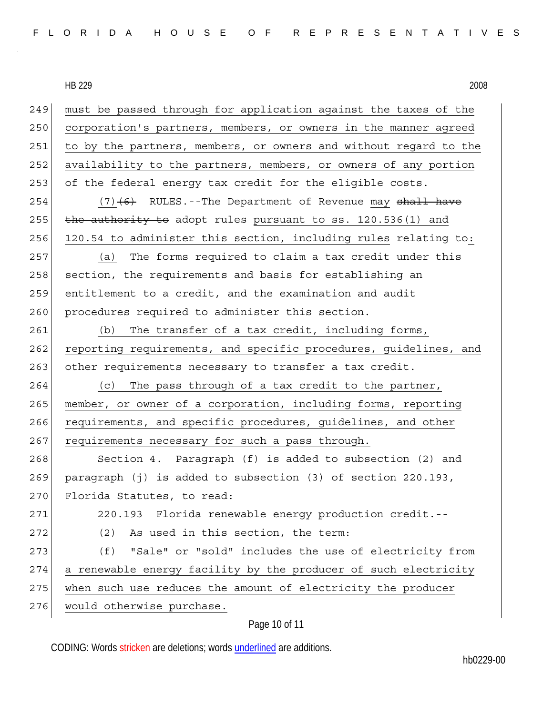| 249 | must be passed through for application against the taxes of the  |
|-----|------------------------------------------------------------------|
| 250 | corporation's partners, members, or owners in the manner agreed  |
| 251 | to by the partners, members, or owners and without regard to the |
| 252 | availability to the partners, members, or owners of any portion  |
| 253 | of the federal energy tax credit for the eligible costs.         |
| 254 | $(7)$ (6) RULES.--The Department of Revenue may shall have       |
| 255 | the authority to adopt rules pursuant to ss. 120.536(1) and      |
| 256 | 120.54 to administer this section, including rules relating to:  |
| 257 | (a) The forms required to claim a tax credit under this          |
| 258 | section, the requirements and basis for establishing an          |
| 259 | entitlement to a credit, and the examination and audit           |
| 260 | procedures required to administer this section.                  |
| 261 | (b) The transfer of a tax credit, including forms,               |
| 262 | reporting requirements, and specific procedures, guidelines, and |
| 263 | other requirements necessary to transfer a tax credit.           |
| 264 | The pass through of a tax credit to the partner,<br>(C)          |
| 265 | member, or owner of a corporation, including forms, reporting    |
| 266 | requirements, and specific procedures, guidelines, and other     |
| 267 | requirements necessary for such a pass through.                  |
| 268 | Section 4. Paragraph (f) is added to subsection (2) and          |
| 269 | paragraph (j) is added to subsection (3) of section 220.193,     |
| 270 | Florida Statutes, to read:                                       |
| 271 | 220.193 Florida renewable energy production credit.--            |
| 272 | As used in this section, the term:<br>(2)                        |
| 273 | "Sale" or "sold" includes the use of electricity from<br>(f)     |
| 274 | a renewable energy facility by the producer of such electricity  |
| 275 | when such use reduces the amount of electricity the producer     |
| 276 | would otherwise purchase.                                        |

# Page 10 of 11